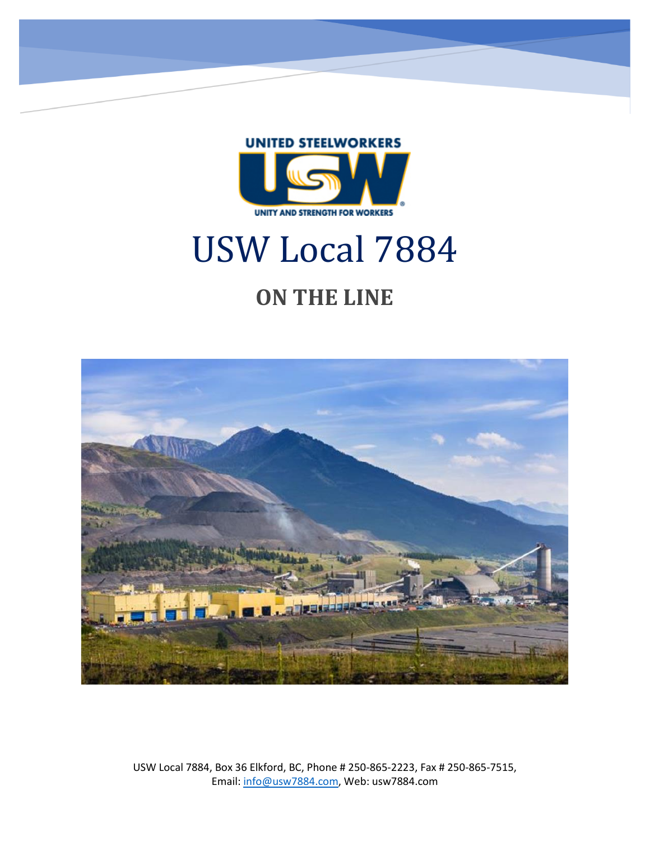

# USW Local 7884

# **ON THE LINE**



USW Local 7884, Box 36 Elkford, BC, Phone # 250-865-2223, Fax # 250-865-7515, Email: [info@usw7884.com,](mailto:info@usw7884.com) Web: usw7884.com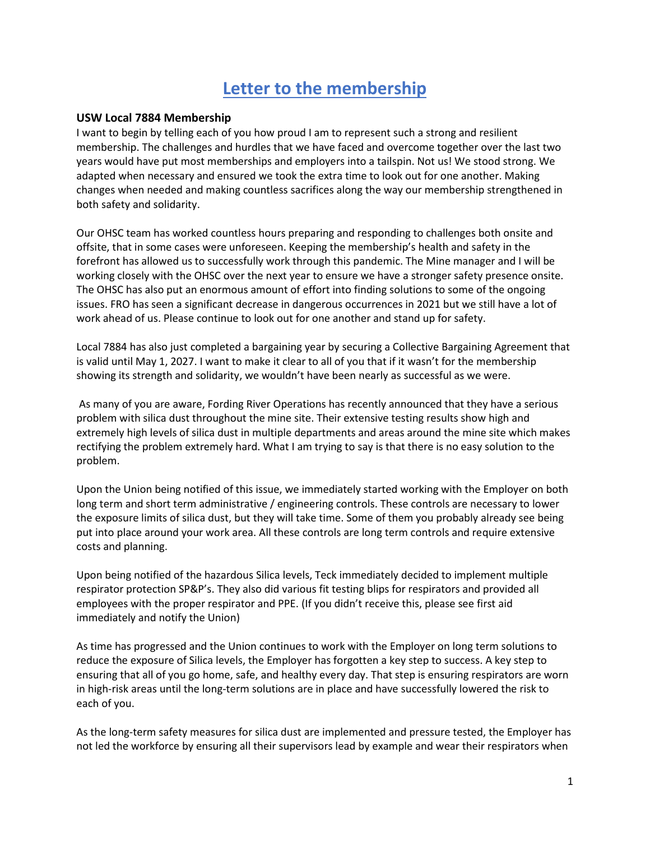#### **Letter to the membership**

#### **USW Local 7884 Membership**

I want to begin by telling each of you how proud I am to represent such a strong and resilient membership. The challenges and hurdles that we have faced and overcome together over the last two years would have put most memberships and employers into a tailspin. Not us! We stood strong. We adapted when necessary and ensured we took the extra time to look out for one another. Making changes when needed and making countless sacrifices along the way our membership strengthened in both safety and solidarity.

Our OHSC team has worked countless hours preparing and responding to challenges both onsite and offsite, that in some cases were unforeseen. Keeping the membership's health and safety in the forefront has allowed us to successfully work through this pandemic. The Mine manager and I will be working closely with the OHSC over the next year to ensure we have a stronger safety presence onsite. The OHSC has also put an enormous amount of effort into finding solutions to some of the ongoing issues. FRO has seen a significant decrease in dangerous occurrences in 2021 but we still have a lot of work ahead of us. Please continue to look out for one another and stand up for safety.

Local 7884 has also just completed a bargaining year by securing a Collective Bargaining Agreement that is valid until May 1, 2027. I want to make it clear to all of you that if it wasn't for the membership showing its strength and solidarity, we wouldn't have been nearly as successful as we were.

As many of you are aware, Fording River Operations has recently announced that they have a serious problem with silica dust throughout the mine site. Their extensive testing results show high and extremely high levels of silica dust in multiple departments and areas around the mine site which makes rectifying the problem extremely hard. What I am trying to say is that there is no easy solution to the problem.

Upon the Union being notified of this issue, we immediately started working with the Employer on both long term and short term administrative / engineering controls. These controls are necessary to lower the exposure limits of silica dust, but they will take time. Some of them you probably already see being put into place around your work area. All these controls are long term controls and require extensive costs and planning.

Upon being notified of the hazardous Silica levels, Teck immediately decided to implement multiple respirator protection SP&P's. They also did various fit testing blips for respirators and provided all employees with the proper respirator and PPE. (If you didn't receive this, please see first aid immediately and notify the Union)

As time has progressed and the Union continues to work with the Employer on long term solutions to reduce the exposure of Silica levels, the Employer has forgotten a key step to success. A key step to ensuring that all of you go home, safe, and healthy every day. That step is ensuring respirators are worn in high-risk areas until the long-term solutions are in place and have successfully lowered the risk to each of you.

As the long-term safety measures for silica dust are implemented and pressure tested, the Employer has not led the workforce by ensuring all their supervisors lead by example and wear their respirators when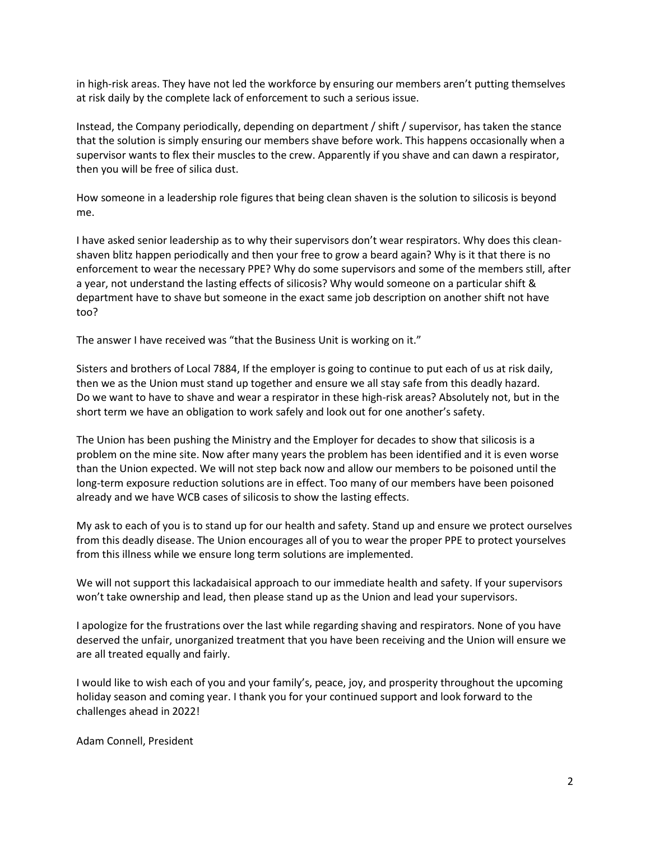in high-risk areas. They have not led the workforce by ensuring our members aren't putting themselves at risk daily by the complete lack of enforcement to such a serious issue.

Instead, the Company periodically, depending on department / shift / supervisor, has taken the stance that the solution is simply ensuring our members shave before work. This happens occasionally when a supervisor wants to flex their muscles to the crew. Apparently if you shave and can dawn a respirator, then you will be free of silica dust.

How someone in a leadership role figures that being clean shaven is the solution to silicosis is beyond me.

I have asked senior leadership as to why their supervisors don't wear respirators. Why does this cleanshaven blitz happen periodically and then your free to grow a beard again? Why is it that there is no enforcement to wear the necessary PPE? Why do some supervisors and some of the members still, after a year, not understand the lasting effects of silicosis? Why would someone on a particular shift & department have to shave but someone in the exact same job description on another shift not have too?

The answer I have received was "that the Business Unit is working on it."

Sisters and brothers of Local 7884, If the employer is going to continue to put each of us at risk daily, then we as the Union must stand up together and ensure we all stay safe from this deadly hazard. Do we want to have to shave and wear a respirator in these high-risk areas? Absolutely not, but in the short term we have an obligation to work safely and look out for one another's safety.

The Union has been pushing the Ministry and the Employer for decades to show that silicosis is a problem on the mine site. Now after many years the problem has been identified and it is even worse than the Union expected. We will not step back now and allow our members to be poisoned until the long-term exposure reduction solutions are in effect. Too many of our members have been poisoned already and we have WCB cases of silicosis to show the lasting effects.

My ask to each of you is to stand up for our health and safety. Stand up and ensure we protect ourselves from this deadly disease. The Union encourages all of you to wear the proper PPE to protect yourselves from this illness while we ensure long term solutions are implemented.

We will not support this lackadaisical approach to our immediate health and safety. If your supervisors won't take ownership and lead, then please stand up as the Union and lead your supervisors.

I apologize for the frustrations over the last while regarding shaving and respirators. None of you have deserved the unfair, unorganized treatment that you have been receiving and the Union will ensure we are all treated equally and fairly.

I would like to wish each of you and your family's, peace, joy, and prosperity throughout the upcoming holiday season and coming year. I thank you for your continued support and look forward to the challenges ahead in 2022!

Adam Connell, President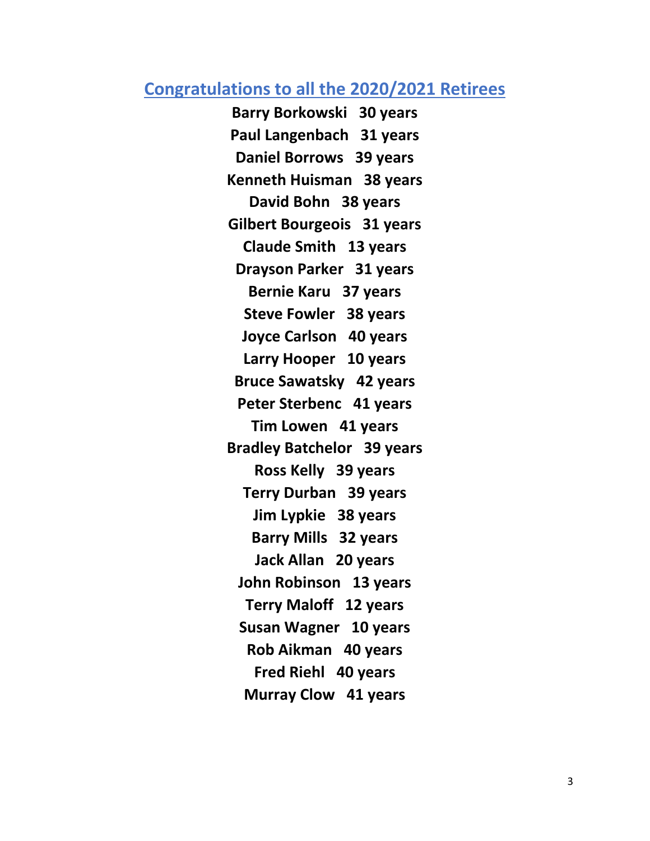#### **Congratulations to all the 2020/2021 Retirees**

**Barry Borkowski 30 years Paul Langenbach 31 years Daniel Borrows 39 years Kenneth Huisman 38 years David Bohn 38 years Gilbert Bourgeois 31 years Claude Smith 13 years Drayson Parker 31 years Bernie Karu 37 years Steve Fowler 38 years Joyce Carlson 40 years Larry Hooper 10 years Bruce Sawatsky 42 years Peter Sterbenc 41 years Tim Lowen 41 years Bradley Batchelor 39 years Ross Kelly 39 years Terry Durban 39 years Jim Lypkie 38 years Barry Mills 32 years Jack Allan 20 years John Robinson 13 years Terry Maloff 12 years Susan Wagner 10 years Rob Aikman 40 years Fred Riehl 40 years Murray Clow 41 years**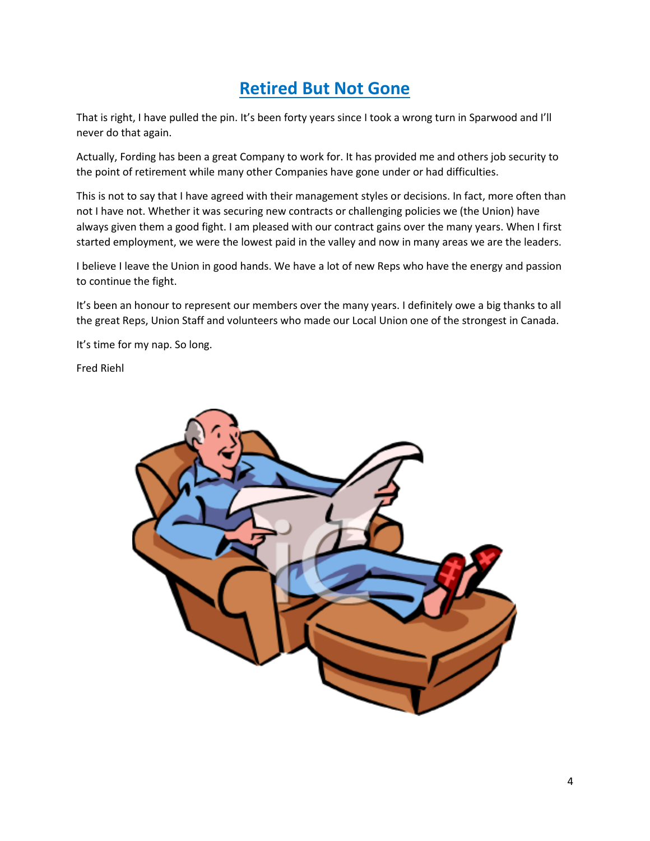#### **Retired But Not Gone**

That is right, I have pulled the pin. It's been forty years since I took a wrong turn in Sparwood and I'll never do that again.

Actually, Fording has been a great Company to work for. It has provided me and others job security to the point of retirement while many other Companies have gone under or had difficulties.

This is not to say that I have agreed with their management styles or decisions. In fact, more often than not I have not. Whether it was securing new contracts or challenging policies we (the Union) have always given them a good fight. I am pleased with our contract gains over the many years. When I first started employment, we were the lowest paid in the valley and now in many areas we are the leaders.

I believe I leave the Union in good hands. We have a lot of new Reps who have the energy and passion to continue the fight.

It's been an honour to represent our members over the many years. I definitely owe a big thanks to all the great Reps, Union Staff and volunteers who made our Local Union one of the strongest in Canada.

It's time for my nap. So long.

Fred Riehl

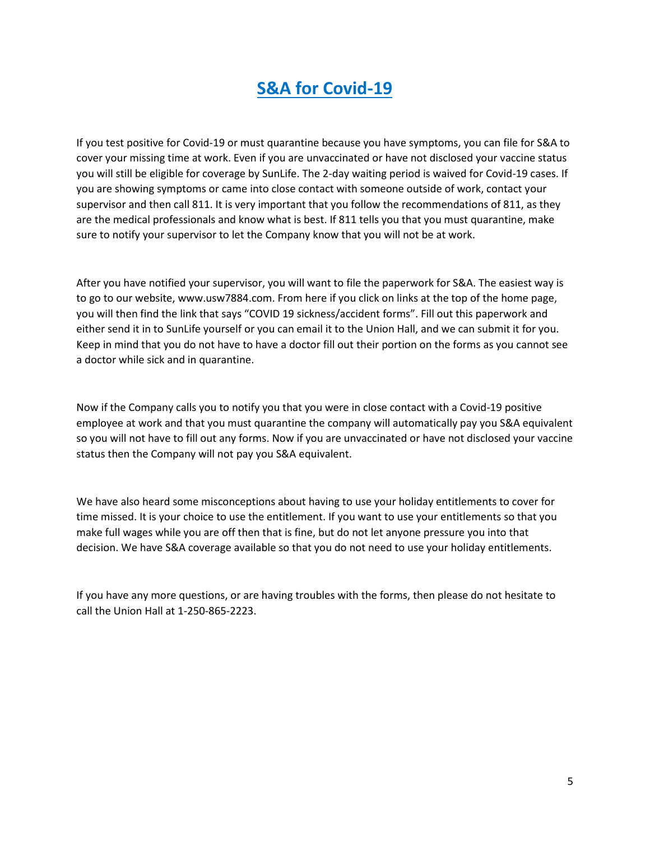#### **S&A for Covid-19**

If you test positive for Covid-19 or must quarantine because you have symptoms, you can file for S&A to cover your missing time at work. Even if you are unvaccinated or have not disclosed your vaccine status you will still be eligible for coverage by SunLife. The 2-day waiting period is waived for Covid-19 cases. If you are showing symptoms or came into close contact with someone outside of work, contact your supervisor and then call 811. It is very important that you follow the recommendations of 811, as they are the medical professionals and know what is best. If 811 tells you that you must quarantine, make sure to notify your supervisor to let the Company know that you will not be at work.

After you have notified your supervisor, you will want to file the paperwork for S&A. The easiest way is to go to our website, www.usw7884.com. From here if you click on links at the top of the home page, you will then find the link that says "COVID 19 sickness/accident forms". Fill out this paperwork and either send it in to SunLife yourself or you can email it to the Union Hall, and we can submit it for you. Keep in mind that you do not have to have a doctor fill out their portion on the forms as you cannot see a doctor while sick and in quarantine.

Now if the Company calls you to notify you that you were in close contact with a Covid-19 positive employee at work and that you must quarantine the company will automatically pay you S&A equivalent so you will not have to fill out any forms. Now if you are unvaccinated or have not disclosed your vaccine status then the Company will not pay you S&A equivalent.

We have also heard some misconceptions about having to use your holiday entitlements to cover for time missed. It is your choice to use the entitlement. If you want to use your entitlements so that you make full wages while you are off then that is fine, but do not let anyone pressure you into that decision. We have S&A coverage available so that you do not need to use your holiday entitlements.

If you have any more questions, or are having troubles with the forms, then please do not hesitate to call the Union Hall at 1-250-865-2223.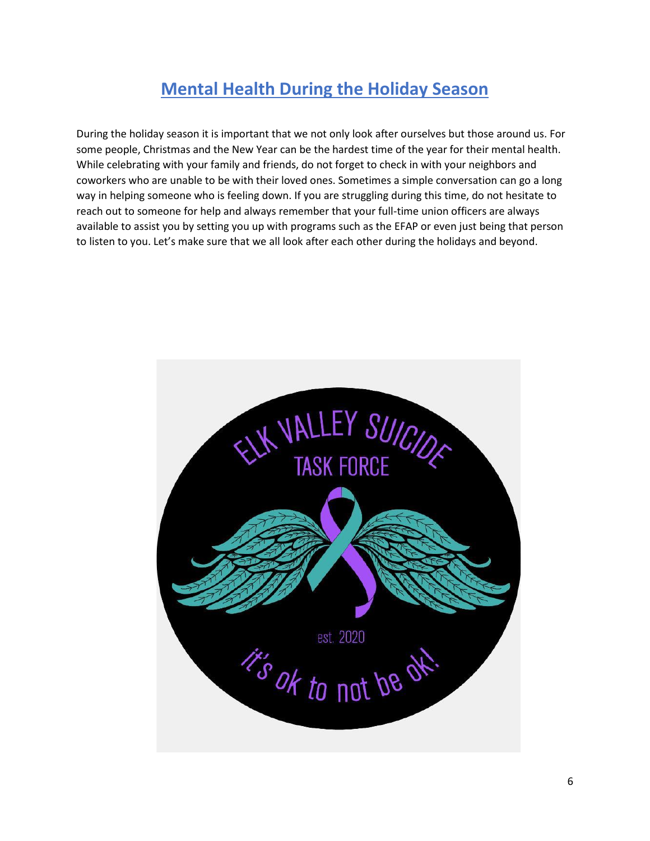#### **Mental Health During the Holiday Season**

During the holiday season it is important that we not only look after ourselves but those around us. For some people, Christmas and the New Year can be the hardest time of the year for their mental health. While celebrating with your family and friends, do not forget to check in with your neighbors and coworkers who are unable to be with their loved ones. Sometimes a simple conversation can go a long way in helping someone who is feeling down. If you are struggling during this time, do not hesitate to reach out to someone for help and always remember that your full-time union officers are always available to assist you by setting you up with programs such as the EFAP or even just being that person to listen to you. Let's make sure that we all look after each other during the holidays and beyond.

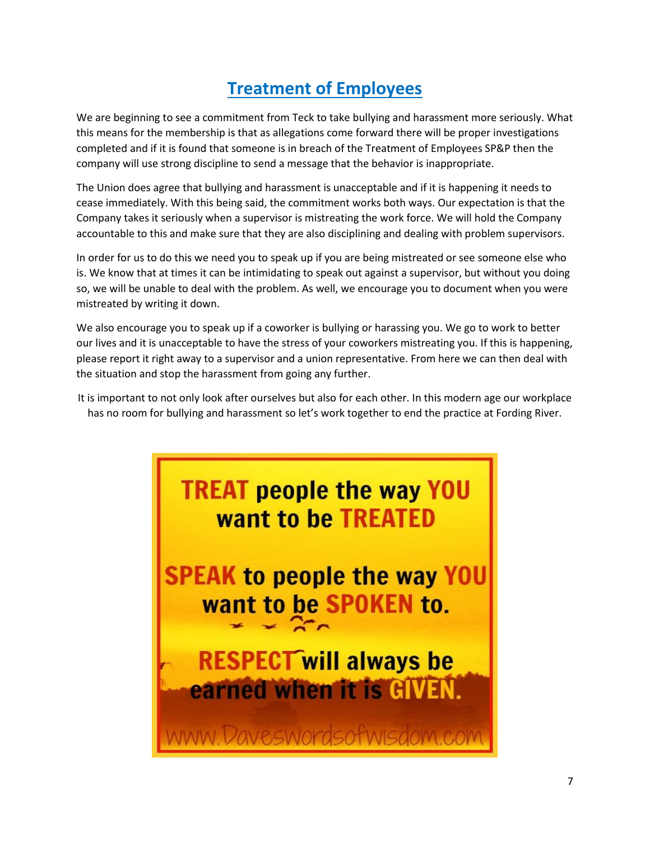#### **Treatment of Employees**

We are beginning to see a commitment from Teck to take bullying and harassment more seriously. What this means for the membership is that as allegations come forward there will be proper investigations completed and if it is found that someone is in breach of the Treatment of Employees SP&P then the company will use strong discipline to send a message that the behavior is inappropriate.

The Union does agree that bullying and harassment is unacceptable and if it is happening it needs to cease immediately. With this being said, the commitment works both ways. Our expectation is that the Company takes it seriously when a supervisor is mistreating the work force. We will hold the Company accountable to this and make sure that they are also disciplining and dealing with problem supervisors.

In order for us to do this we need you to speak up if you are being mistreated or see someone else who is. We know that at times it can be intimidating to speak out against a supervisor, but without you doing so, we will be unable to deal with the problem. As well, we encourage you to document when you were mistreated by writing it down.

We also encourage you to speak up if a coworker is bullying or harassing you. We go to work to better our lives and it is unacceptable to have the stress of your coworkers mistreating you. If this is happening, please report it right away to a supervisor and a union representative. From here we can then deal with the situation and stop the harassment from going any further.

It is important to not only look after ourselves but also for each other. In this modern age our workplace has no room for bullying and harassment so let's work together to end the practice at Fording River.

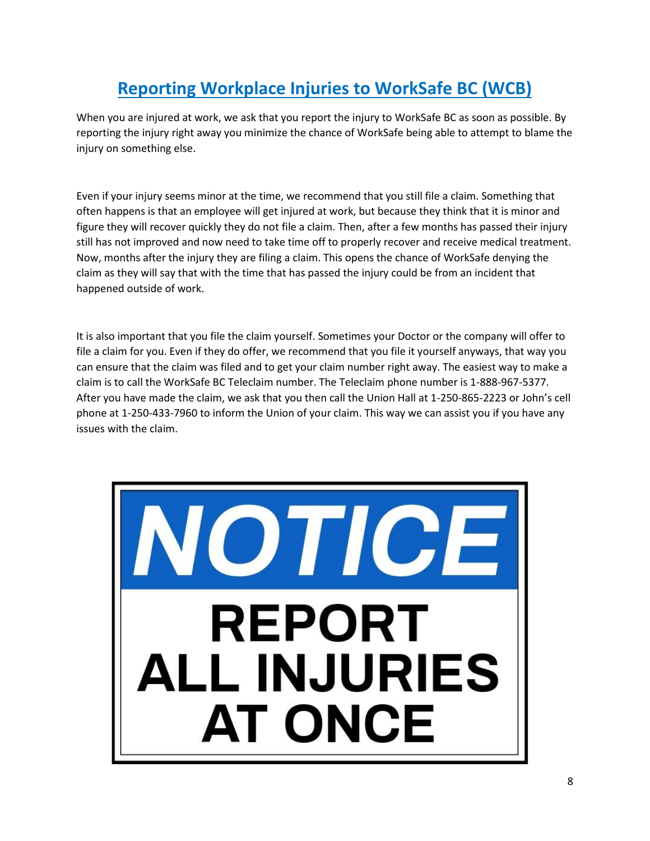## **Reporting Workplace Injuries to WorkSafe BC (WCB)**

When you are injured at work, we ask that you report the injury to WorkSafe BC as soon as possible. By reporting the injury right away you minimize the chance of WorkSafe being able to attempt to blame the injury on something else.

Even if your injury seems minor at the time, we recommend that you still file a claim. Something that often happens is that an employee will get injured at work, but because they think that it is minor and figure they will recover quickly they do not file a claim. Then, after a few months has passed their injury still has not improved and now need to take time off to properly recover and receive medical treatment. Now, months after the injury they are filing a claim. This opens the chance of WorkSafe denying the claim as they will say that with the time that has passed the injury could be from an incident that happened outside of work.

It is also important that you file the claim yourself. Sometimes your Doctor or the company will offer to file a claim for you. Even if they do offer, we recommend that you file it yourself anyways, that way you can ensure that the claim was filed and to get your claim number right away. The easiest way to make a claim is to call the WorkSafe BC Teleclaim number. The Teleclaim phone number is 1-888-967-5377. After you have made the claim, we ask that you then call the Union Hall at 1-250-865-2223 or John's cell phone at 1-250-433-7960 to inform the Union of your claim. This way we can assist you if you have any issues with the claim.

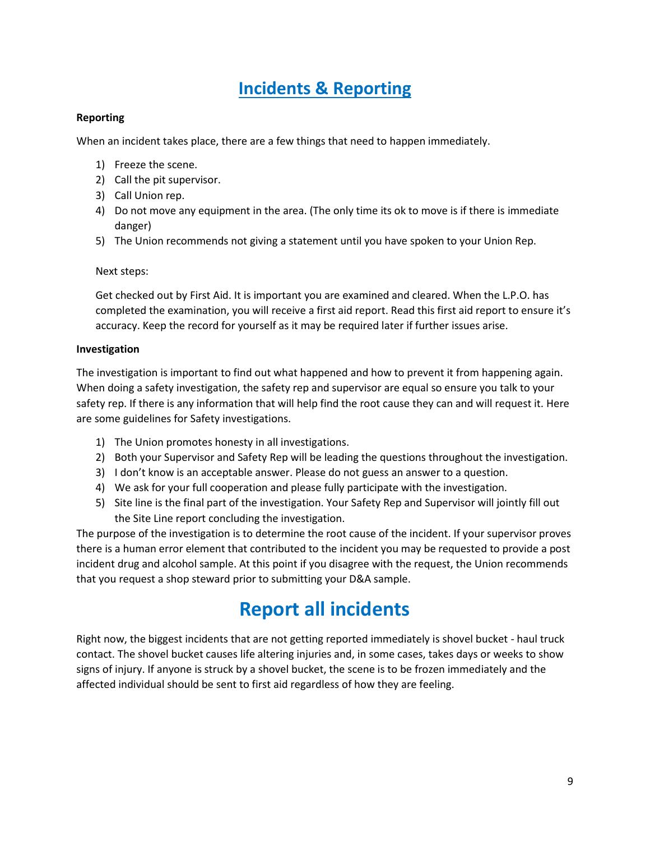#### **Incidents & Reporting**

#### **Reporting**

When an incident takes place, there are a few things that need to happen immediately.

- 1) Freeze the scene.
- 2) Call the pit supervisor.
- 3) Call Union rep.
- 4) Do not move any equipment in the area. (The only time its ok to move is if there is immediate danger)
- 5) The Union recommends not giving a statement until you have spoken to your Union Rep.

#### Next steps:

Get checked out by First Aid. It is important you are examined and cleared. When the L.P.O. has completed the examination, you will receive a first aid report. Read this first aid report to ensure it's accuracy. Keep the record for yourself as it may be required later if further issues arise.

#### **Investigation**

The investigation is important to find out what happened and how to prevent it from happening again. When doing a safety investigation, the safety rep and supervisor are equal so ensure you talk to your safety rep. If there is any information that will help find the root cause they can and will request it. Here are some guidelines for Safety investigations.

- 1) The Union promotes honesty in all investigations.
- 2) Both your Supervisor and Safety Rep will be leading the questions throughout the investigation.
- 3) I don't know is an acceptable answer. Please do not guess an answer to a question.
- 4) We ask for your full cooperation and please fully participate with the investigation.
- 5) Site line is the final part of the investigation. Your Safety Rep and Supervisor will jointly fill out the Site Line report concluding the investigation.

The purpose of the investigation is to determine the root cause of the incident. If your supervisor proves there is a human error element that contributed to the incident you may be requested to provide a post incident drug and alcohol sample. At this point if you disagree with the request, the Union recommends that you request a shop steward prior to submitting your D&A sample.

## **Report all incidents**

Right now, the biggest incidents that are not getting reported immediately is shovel bucket - haul truck contact. The shovel bucket causes life altering injuries and, in some cases, takes days or weeks to show signs of injury. If anyone is struck by a shovel bucket, the scene is to be frozen immediately and the affected individual should be sent to first aid regardless of how they are feeling.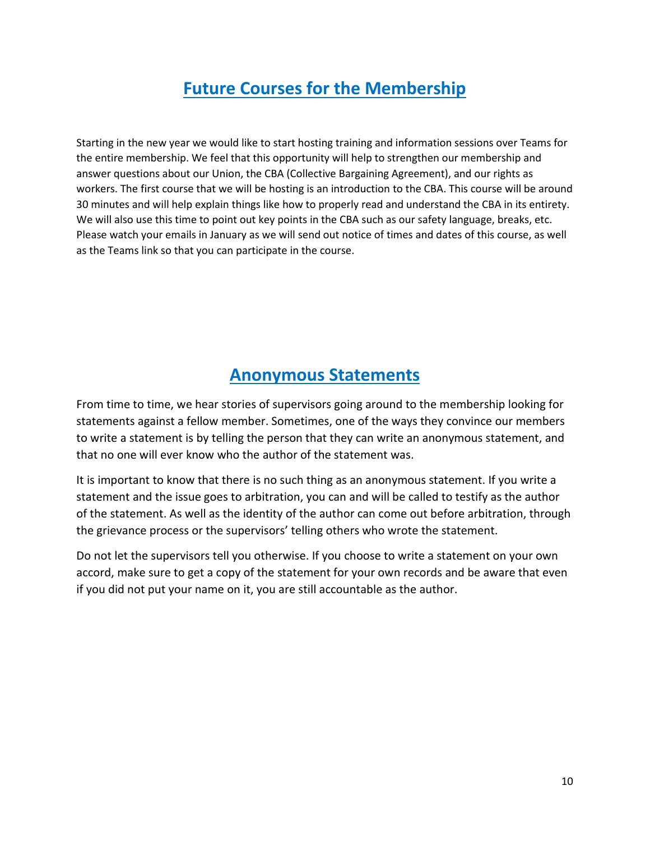#### **Future Courses for the Membership**

Starting in the new year we would like to start hosting training and information sessions over Teams for the entire membership. We feel that this opportunity will help to strengthen our membership and answer questions about our Union, the CBA (Collective Bargaining Agreement), and our rights as workers. The first course that we will be hosting is an introduction to the CBA. This course will be around 30 minutes and will help explain things like how to properly read and understand the CBA in its entirety. We will also use this time to point out key points in the CBA such as our safety language, breaks, etc. Please watch your emails in January as we will send out notice of times and dates of this course, as well as the Teams link so that you can participate in the course.

#### **Anonymous Statements**

From time to time, we hear stories of supervisors going around to the membership looking for statements against a fellow member. Sometimes, one of the ways they convince our members to write a statement is by telling the person that they can write an anonymous statement, and that no one will ever know who the author of the statement was.

It is important to know that there is no such thing as an anonymous statement. If you write a statement and the issue goes to arbitration, you can and will be called to testify as the author of the statement. As well as the identity of the author can come out before arbitration, through the grievance process or the supervisors' telling others who wrote the statement.

Do not let the supervisors tell you otherwise. If you choose to write a statement on your own accord, make sure to get a copy of the statement for your own records and be aware that even if you did not put your name on it, you are still accountable as the author.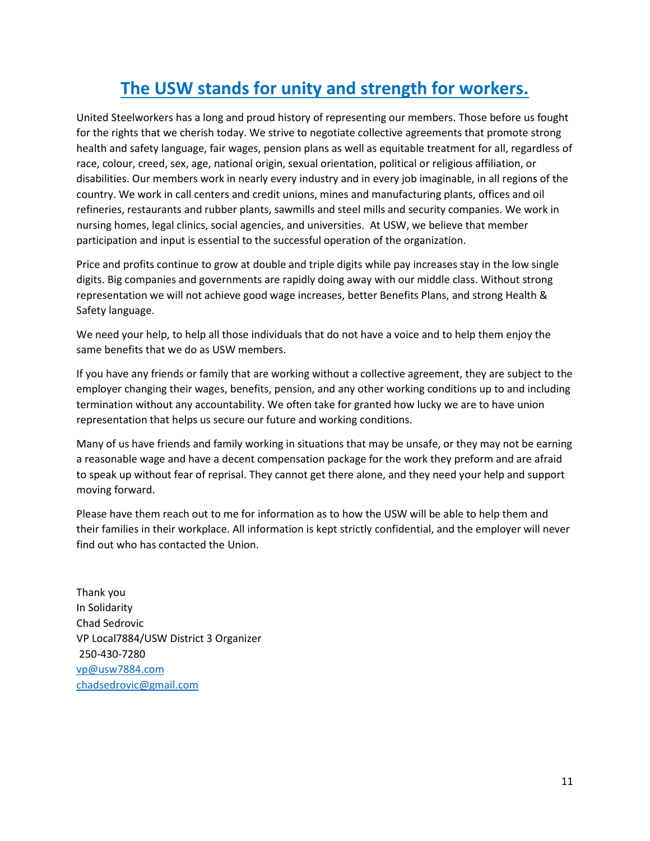## **The USW stands for unity and strength for workers.**

United Steelworkers has a long and proud history of representing our members. Those before us fought for the rights that we cherish today. We strive to negotiate collective agreements that promote strong health and safety language, fair wages, pension plans as well as equitable treatment for all, regardless of race, colour, creed, sex, age, national origin, sexual orientation, political or religious affiliation, or disabilities. Our members work in nearly every industry and in every job imaginable, in all regions of the country. We work in call centers and credit unions, mines and manufacturing plants, offices and oil refineries, restaurants and rubber plants, sawmills and steel mills and security companies. We work in nursing homes, legal clinics, social agencies, and universities. At USW, we believe that member participation and input is essential to the successful operation of the organization.

Price and profits continue to grow at double and triple digits while pay increases stay in the low single digits. Big companies and governments are rapidly doing away with our middle class. Without strong representation we will not achieve good wage increases, better Benefits Plans, and strong Health & Safety language.

We need your help, to help all those individuals that do not have a voice and to help them enjoy the same benefits that we do as USW members.

If you have any friends or family that are working without a collective agreement, they are subject to the employer changing their wages, benefits, pension, and any other working conditions up to and including termination without any accountability. We often take for granted how lucky we are to have union representation that helps us secure our future and working conditions.

Many of us have friends and family working in situations that may be unsafe, or they may not be earning a reasonable wage and have a decent compensation package for the work they preform and are afraid to speak up without fear of reprisal. They cannot get there alone, and they need your help and support moving forward.

Please have them reach out to me for information as to how the USW will be able to help them and their families in their workplace. All information is kept strictly confidential, and the employer will never find out who has contacted the Union.

Thank you In Solidarity Chad Sedrovic VP Local7884/USW District 3 Organizer 250-430-7280 [vp@usw7884.com](mailto:vp@usw7884.com)  [chadsedrovic@gmail.com](mailto:chadsedrovic@gmail.com)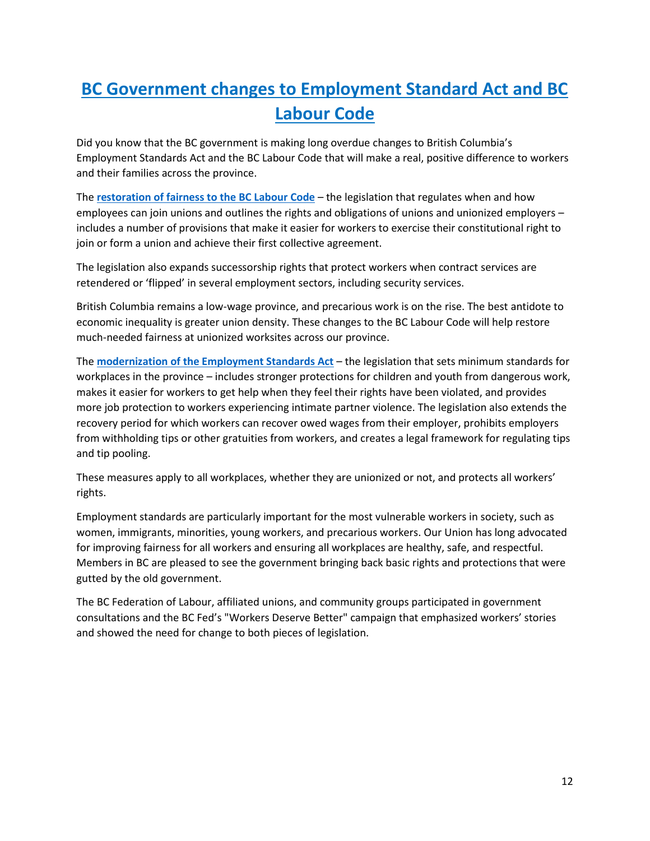# **BC Government changes to Employment Standard Act and BC Labour Code**

Did you know that the BC government is making long overdue changes to British Columbia's Employment Standards Act and the BC Labour Code that will make a real, positive difference to workers and their families across the province.

The **[restoration of fairness to the BC Labour Code](https://can01.safelinks.protection.outlook.com/?url=https%3A%2F%2Fnews.gov.bc.ca%2Freleases%2F2019LBR0015-000823&data=02%7C01%7Cbraggp%40psac-afpc.com%7C8bf5d7e737f24ac7a59708d6e049428a%7C0a1916b7be62452f905569e03ce73de3%7C0%7C0%7C636943002582105724&sdata=oJhb%2B2f%2FjD2VZADSghTYMS0gMWxPS%2Fbd7aNRGHIEuzA%3D&reserved=0)** – the legislation that regulates when and how employees can join unions and outlines the rights and obligations of unions and unionized employers – includes a number of provisions that make it easier for workers to exercise their constitutional right to join or form a union and achieve their first collective agreement.

The legislation also expands successorship rights that protect workers when contract services are retendered or 'flipped' in several employment sectors, including security services.

British Columbia remains a low-wage province, and precarious work is on the rise. The best antidote to economic inequality is greater union density. These changes to the BC Labour Code will help restore much-needed fairness at unionized worksites across our province.

The **[modernization of the Employment Standards Act](https://can01.safelinks.protection.outlook.com/?url=https%3A%2F%2Fnews.gov.bc.ca%2Freleases%2F2019LBR0013-000815&data=02%7C01%7Cbraggp%40psac-afpc.com%7C8bf5d7e737f24ac7a59708d6e049428a%7C0a1916b7be62452f905569e03ce73de3%7C0%7C0%7C636943002582115713&sdata=sqxdKCqquJGajUT%2B12QxFcJhaWqZkr4R9t5Mhjf%2BrCI%3D&reserved=0)** – the legislation that sets minimum standards for workplaces in the province – includes stronger protections for children and youth from dangerous work, makes it easier for workers to get help when they feel their rights have been violated, and provides more job protection to workers experiencing intimate partner violence. The legislation also extends the recovery period for which workers can recover owed wages from their employer, prohibits employers from withholding tips or other gratuities from workers, and creates a legal framework for regulating tips and tip pooling.

These measures apply to all workplaces, whether they are unionized or not, and protects all workers' rights.

Employment standards are particularly important for the most vulnerable workers in society, such as women, immigrants, minorities, young workers, and precarious workers. Our Union has long advocated for improving fairness for all workers and ensuring all workplaces are healthy, safe, and respectful. Members in BC are pleased to see the government bringing back basic rights and protections that were gutted by the old government.

The BC Federation of Labour, affiliated unions, and community groups participated in government consultations and the BC Fed's "Workers Deserve Better" campaign that emphasized workers' stories and showed the need for change to both pieces of legislation.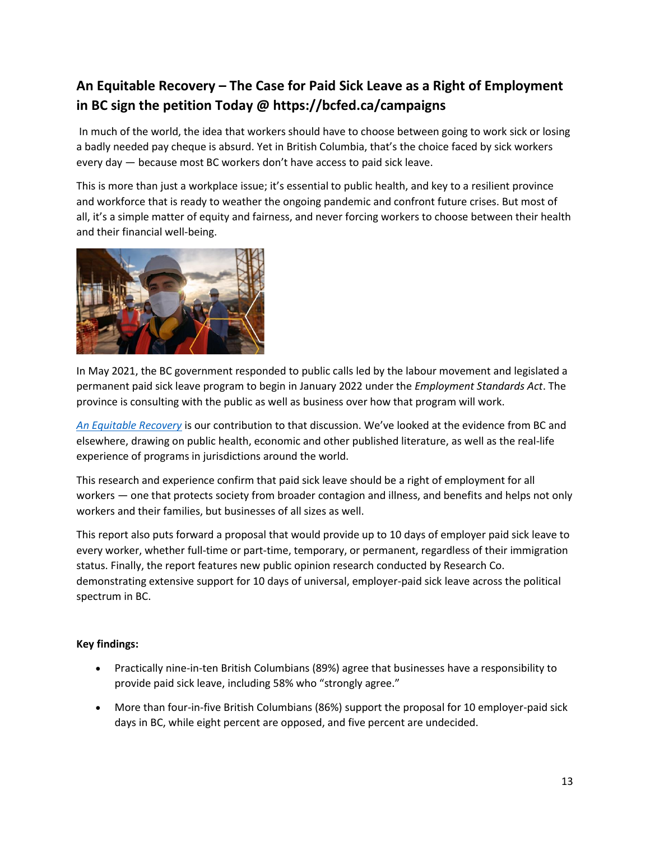#### **An Equitable Recovery – The Case for Paid Sick Leave as a Right of Employment in BC sign the petition Today @ https://bcfed.ca/campaigns**

In much of the world, the idea that workers should have to choose between going to work sick or losing a badly needed pay cheque is absurd. Yet in British Columbia, that's the choice faced by sick workers every day — because most BC workers don't have access to paid sick leave.

This is more than just a workplace issue; it's essential to public health, and key to a resilient province and workforce that is ready to weather the ongoing pandemic and confront future crises. But most of all, it's a simple matter of equity and fairness, and never forcing workers to choose between their health and their financial well-being.



In May 2021, the BC government responded to public calls led by the labour movement and legislated a permanent paid sick leave program to begin in January 2022 under the *Employment Standards Act*. The province is consulting with the public as well as business over how that program will work.

*[An Equitable Recovery](https://bcfed.ca/sites/default/files/attachments/AN%20EQUITABLE%20RECOVERY.%20BCFED.%20FINAL.pdf)* is our contribution to that discussion. We've looked at the evidence from BC and elsewhere, drawing on public health, economic and other published literature, as well as the real-life experience of programs in jurisdictions around the world.

This research and experience confirm that paid sick leave should be a right of employment for all workers — one that protects society from broader contagion and illness, and benefits and helps not only workers and their families, but businesses of all sizes as well.

This report also puts forward a proposal that would provide up to 10 days of employer paid sick leave to every worker, whether full-time or part-time, temporary, or permanent, regardless of their immigration status. Finally, the report features new public opinion research conducted by Research Co. demonstrating extensive support for 10 days of universal, employer-paid sick leave across the political spectrum in BC.

#### **Key findings:**

- Practically nine-in-ten British Columbians (89%) agree that businesses have a responsibility to provide paid sick leave, including 58% who "strongly agree."
- More than four-in-five British Columbians (86%) support the proposal for 10 employer-paid sick days in BC, while eight percent are opposed, and five percent are undecided.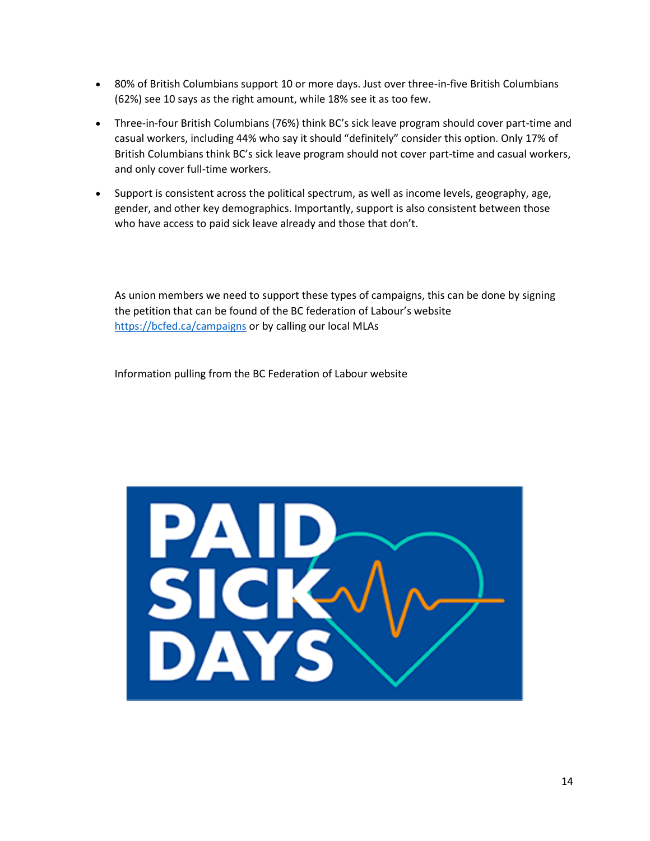- 80% of British Columbians support 10 or more days. Just over three-in-five British Columbians (62%) see 10 says as the right amount, while 18% see it as too few.
- Three-in-four British Columbians (76%) think BC's sick leave program should cover part-time and casual workers, including 44% who say it should "definitely" consider this option. Only 17% of British Columbians think BC's sick leave program should not cover part-time and casual workers, and only cover full-time workers.
- Support is consistent across the political spectrum, as well as income levels, geography, age, gender, and other key demographics. Importantly, support is also consistent between those who have access to paid sick leave already and those that don't.

As union members we need to support these types of campaigns, this can be done by signing the petition that can be found of the BC federation of Labour's website <https://bcfed.ca/campaigns> or by calling our local MLAs

Information pulling from the BC Federation of Labour website

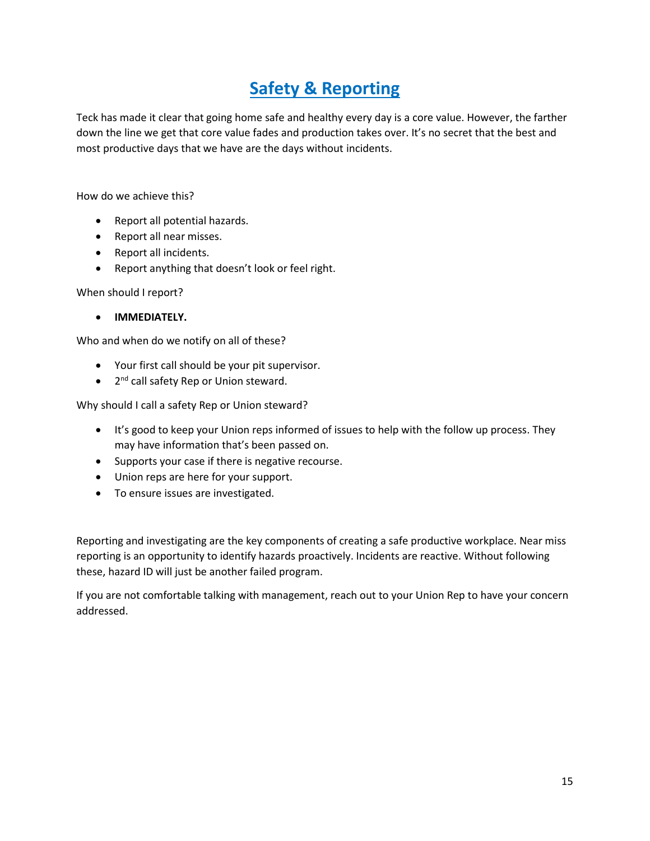#### **Safety & Reporting**

Teck has made it clear that going home safe and healthy every day is a core value. However, the farther down the line we get that core value fades and production takes over. It's no secret that the best and most productive days that we have are the days without incidents.

How do we achieve this?

- Report all potential hazards.
- Report all near misses.
- Report all incidents.
- Report anything that doesn't look or feel right.

When should I report?

• **IMMEDIATELY.**

Who and when do we notify on all of these?

- Your first call should be your pit supervisor.
- 2<sup>nd</sup> call safety Rep or Union steward.

Why should I call a safety Rep or Union steward?

- It's good to keep your Union reps informed of issues to help with the follow up process. They may have information that's been passed on.
- Supports your case if there is negative recourse.
- Union reps are here for your support.
- To ensure issues are investigated.

Reporting and investigating are the key components of creating a safe productive workplace. Near miss reporting is an opportunity to identify hazards proactively. Incidents are reactive. Without following these, hazard ID will just be another failed program.

If you are not comfortable talking with management, reach out to your Union Rep to have your concern addressed.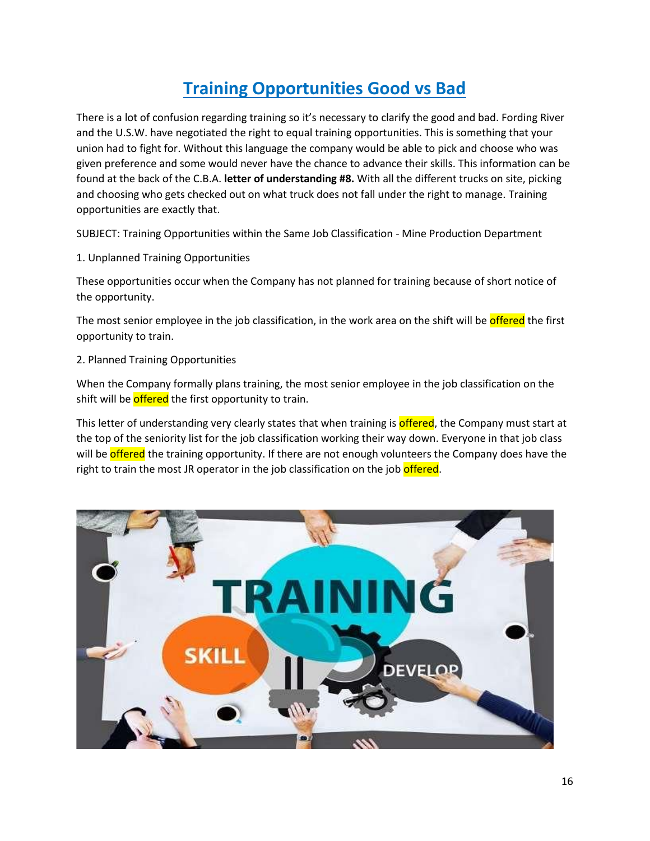### **Training Opportunities Good vs Bad**

There is a lot of confusion regarding training so it's necessary to clarify the good and bad. Fording River and the U.S.W. have negotiated the right to equal training opportunities. This is something that your union had to fight for. Without this language the company would be able to pick and choose who was given preference and some would never have the chance to advance their skills. This information can be found at the back of the C.B.A. **letter of understanding #8.** With all the different trucks on site, picking and choosing who gets checked out on what truck does not fall under the right to manage. Training opportunities are exactly that.

SUBJECT: Training Opportunities within the Same Job Classification - Mine Production Department

1. Unplanned Training Opportunities

These opportunities occur when the Company has not planned for training because of short notice of the opportunity.

The most senior employee in the job classification, in the work area on the shift will be **offered** the first opportunity to train.

2. Planned Training Opportunities

When the Company formally plans training, the most senior employee in the job classification on the shift will be *offered* the first opportunity to train.

This letter of understanding very clearly states that when training is **offered**, the Company must start at the top of the seniority list for the job classification working their way down. Everyone in that job class will be **offered** the training opportunity. If there are not enough volunteers the Company does have the right to train the most JR operator in the job classification on the job offered.

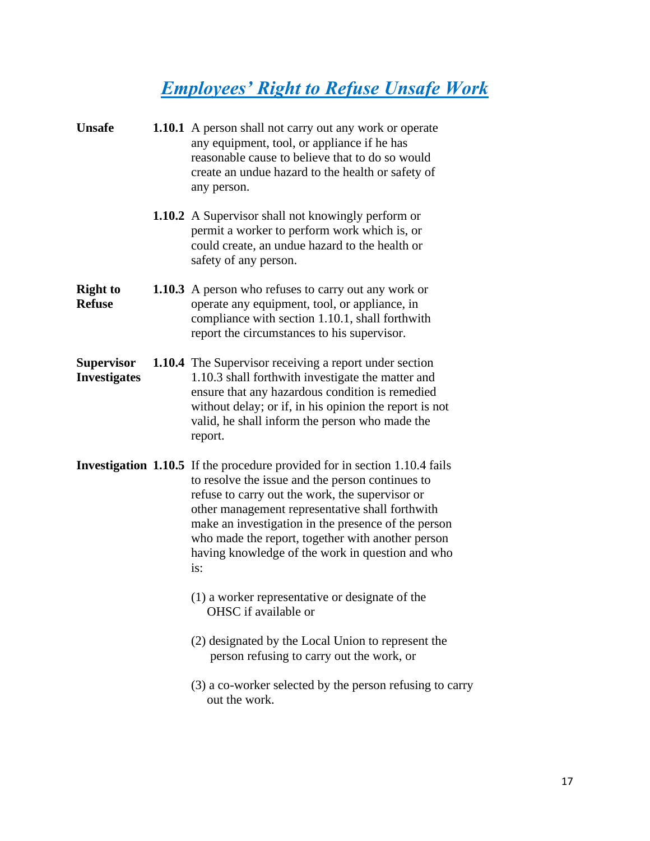# *Employees' Right to Refuse Unsafe Work*

| <b>Unsafe</b>                            | <b>1.10.1</b> A person shall not carry out any work or operate<br>any equipment, tool, or appliance if he has<br>reasonable cause to believe that to do so would<br>create an undue hazard to the health or safety of<br>any person.                                                                                                                                                                               |
|------------------------------------------|--------------------------------------------------------------------------------------------------------------------------------------------------------------------------------------------------------------------------------------------------------------------------------------------------------------------------------------------------------------------------------------------------------------------|
|                                          | <b>1.10.2</b> A Supervisor shall not knowingly perform or<br>permit a worker to perform work which is, or<br>could create, an undue hazard to the health or<br>safety of any person.                                                                                                                                                                                                                               |
| <b>Right to</b><br><b>Refuse</b>         | <b>1.10.3</b> A person who refuses to carry out any work or<br>operate any equipment, tool, or appliance, in<br>compliance with section 1.10.1, shall forthwith<br>report the circumstances to his supervisor.                                                                                                                                                                                                     |
| <b>Supervisor</b><br><b>Investigates</b> | <b>1.10.4</b> The Supervisor receiving a report under section<br>1.10.3 shall forthwith investigate the matter and<br>ensure that any hazardous condition is remedied<br>without delay; or if, in his opinion the report is not<br>valid, he shall inform the person who made the<br>report.                                                                                                                       |
|                                          | <b>Investigation 1.10.5</b> If the procedure provided for in section 1.10.4 fails<br>to resolve the issue and the person continues to<br>refuse to carry out the work, the supervisor or<br>other management representative shall forthwith<br>make an investigation in the presence of the person<br>who made the report, together with another person<br>having knowledge of the work in question and who<br>is: |
|                                          | (1) a worker representative or designate of the<br>OHSC if available or                                                                                                                                                                                                                                                                                                                                            |
|                                          | (2) designated by the Local Union to represent the<br>person refusing to carry out the work, or                                                                                                                                                                                                                                                                                                                    |
|                                          | (3) a co-worker selected by the person refusing to carry<br>out the work.                                                                                                                                                                                                                                                                                                                                          |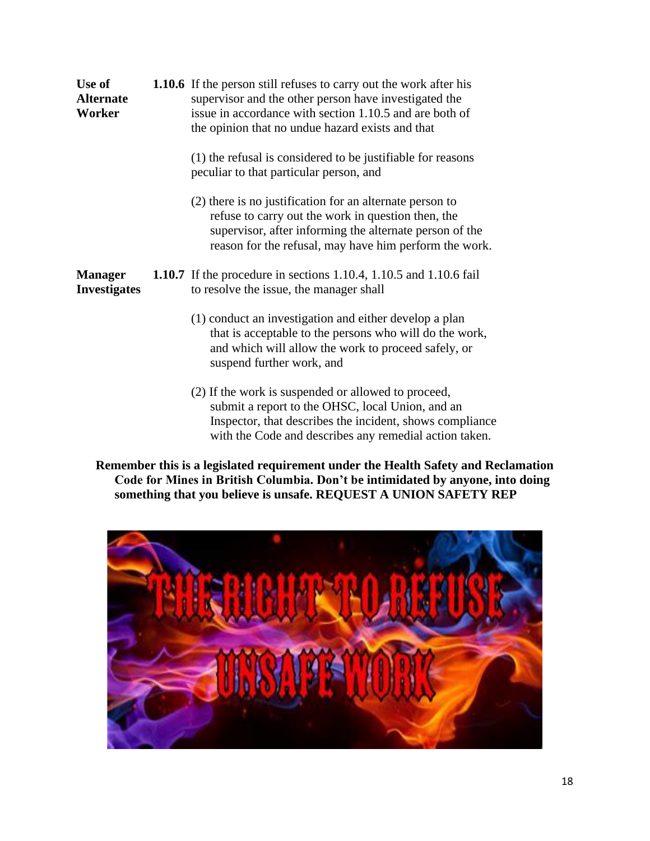| Use of<br><b>Alternate</b><br>Worker  | <b>1.10.6</b> If the person still refuses to carry out the work after his<br>supervisor and the other person have investigated the<br>issue in accordance with section 1.10.5 and are both of<br>the opinion that no undue hazard exists and that |
|---------------------------------------|---------------------------------------------------------------------------------------------------------------------------------------------------------------------------------------------------------------------------------------------------|
|                                       | (1) the refusal is considered to be justifiable for reasons<br>peculiar to that particular person, and                                                                                                                                            |
|                                       | (2) there is no justification for an alternate person to<br>refuse to carry out the work in question then, the<br>supervisor, after informing the alternate person of the<br>reason for the refusal, may have him perform the work.               |
| <b>Manager</b><br><b>Investigates</b> | <b>1.10.7</b> If the procedure in sections 1.10.4, 1.10.5 and 1.10.6 fail<br>to resolve the issue, the manager shall                                                                                                                              |
|                                       | (1) conduct an investigation and either develop a plan<br>that is acceptable to the persons who will do the work,<br>and which will allow the work to proceed safely, or<br>suspend further work, and                                             |

(2) If the work is suspended or allowed to proceed, submit a report to the OHSC, local Union, and an Inspector, that describes the incident, shows compliance with the Code and describes any remedial action taken.

**Remember this is a legislated requirement under the Health Safety and Reclamation Code for Mines in British Columbia. Don't be intimidated by anyone, into doing something that you believe is unsafe. REQUEST A UNION SAFETY REP**

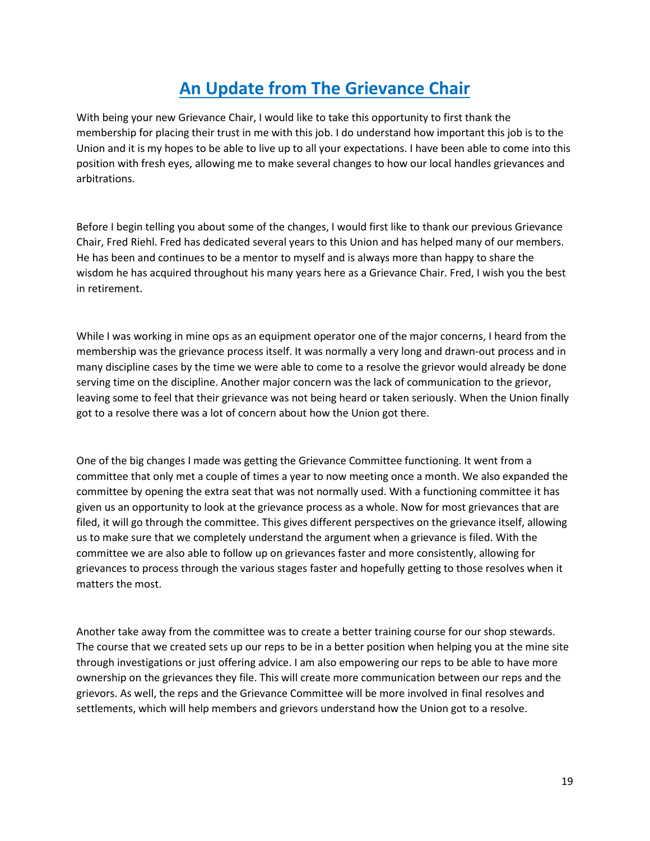#### **An Update from The Grievance Chair**

With being your new Grievance Chair, I would like to take this opportunity to first thank the membership for placing their trust in me with this job. I do understand how important this job is to the Union and it is my hopes to be able to live up to all your expectations. I have been able to come into this position with fresh eyes, allowing me to make several changes to how our local handles grievances and arbitrations.

Before I begin telling you about some of the changes, I would first like to thank our previous Grievance Chair, Fred Riehl. Fred has dedicated several years to this Union and has helped many of our members. He has been and continues to be a mentor to myself and is always more than happy to share the wisdom he has acquired throughout his many years here as a Grievance Chair. Fred, I wish you the best in retirement.

While I was working in mine ops as an equipment operator one of the major concerns, I heard from the membership was the grievance process itself. It was normally a very long and drawn-out process and in many discipline cases by the time we were able to come to a resolve the grievor would already be done serving time on the discipline. Another major concern was the lack of communication to the grievor, leaving some to feel that their grievance was not being heard or taken seriously. When the Union finally got to a resolve there was a lot of concern about how the Union got there.

One of the big changes I made was getting the Grievance Committee functioning. It went from a committee that only met a couple of times a year to now meeting once a month. We also expanded the committee by opening the extra seat that was not normally used. With a functioning committee it has given us an opportunity to look at the grievance process as a whole. Now for most grievances that are filed, it will go through the committee. This gives different perspectives on the grievance itself, allowing us to make sure that we completely understand the argument when a grievance is filed. With the committee we are also able to follow up on grievances faster and more consistently, allowing for grievances to process through the various stages faster and hopefully getting to those resolves when it matters the most.

Another take away from the committee was to create a better training course for our shop stewards. The course that we created sets up our reps to be in a better position when helping you at the mine site through investigations or just offering advice. I am also empowering our reps to be able to have more ownership on the grievances they file. This will create more communication between our reps and the grievors. As well, the reps and the Grievance Committee will be more involved in final resolves and settlements, which will help members and grievors understand how the Union got to a resolve.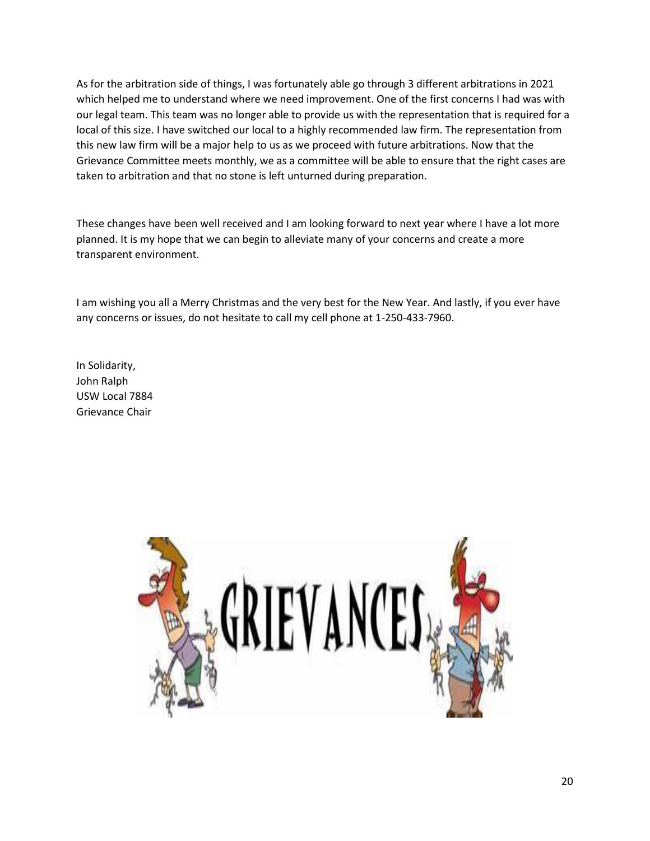As for the arbitration side of things, I was fortunately able go through 3 different arbitrations in 2021 which helped me to understand where we need improvement. One of the first concerns I had was with our legal team. This team was no longer able to provide us with the representation that is required for a local of this size. I have switched our local to a highly recommended law firm. The representation from this new law firm will be a major help to us as we proceed with future arbitrations. Now that the Grievance Committee meets monthly, we as a committee will be able to ensure that the right cases are taken to arbitration and that no stone is left unturned during preparation.

These changes have been well received and I am looking forward to next year where I have a lot more planned. It is my hope that we can begin to alleviate many of your concerns and create a more transparent environment.

I am wishing you all a Merry Christmas and the very best for the New Year. And lastly, if you ever have any concerns or issues, do not hesitate to call my cell phone at 1-250-433-7960.

In Solidarity, John Ralph USW Local 7884 Grievance Chair

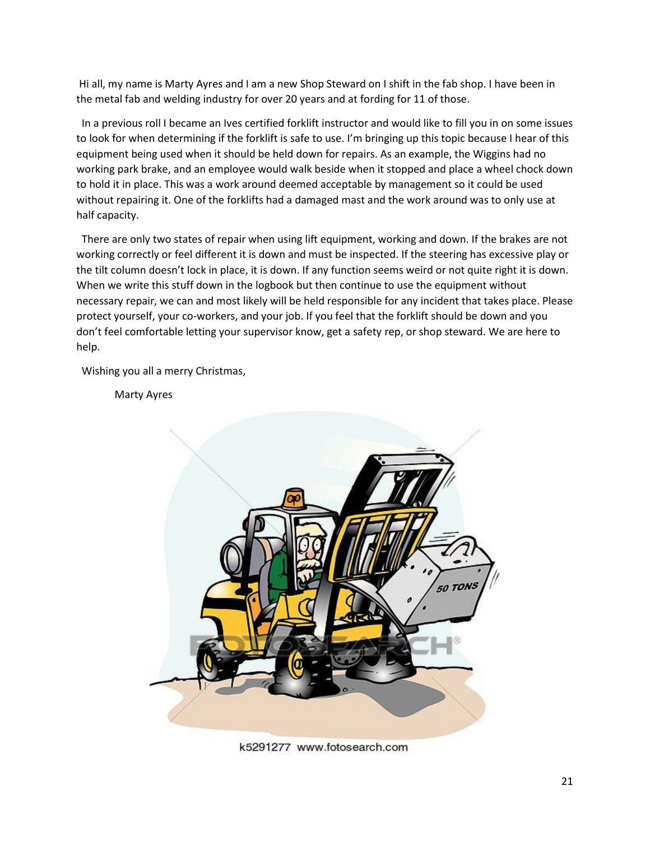Hi all, my name is Marty Ayres and I am a new Shop Steward on I shift in the fab shop. I have been in the metal fab and welding industry for over 20 years and at fording for 11 of those.

 In a previous roll I became an Ives certified forklift instructor and would like to fill you in on some issues to look for when determining if the forklift is safe to use. I'm bringing up this topic because I hear of this equipment being used when it should be held down for repairs. As an example, the Wiggins had no working park brake, and an employee would walk beside when it stopped and place a wheel chock down to hold it in place. This was a work around deemed acceptable by management so it could be used without repairing it. One of the forklifts had a damaged mast and the work around was to only use at half capacity.

 There are only two states of repair when using lift equipment, working and down. If the brakes are not working correctly or feel different it is down and must be inspected. If the steering has excessive play or the tilt column doesn't lock in place, it is down. If any function seems weird or not quite right it is down. When we write this stuff down in the logbook but then continue to use the equipment without necessary repair, we can and most likely will be held responsible for any incident that takes place. Please protect yourself, your co-workers, and your job. If you feel that the forklift should be down and you don't feel comfortable letting your supervisor know, get a safety rep, or shop steward. We are here to help.

Wishing you all a merry Christmas,

Marty Ayres



k5291277 www.fotosearch.com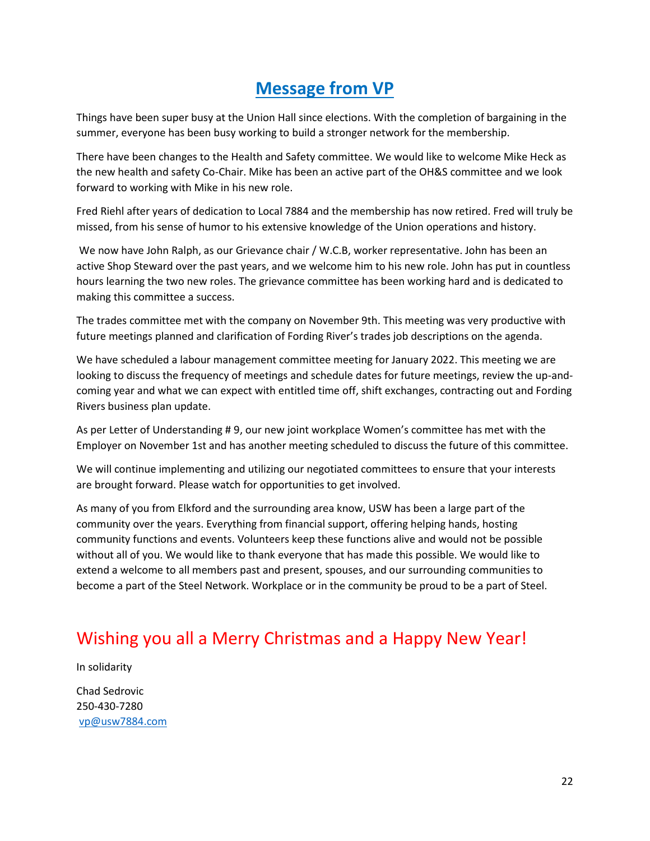#### **Message from VP**

Things have been super busy at the Union Hall since elections. With the completion of bargaining in the summer, everyone has been busy working to build a stronger network for the membership.

There have been changes to the Health and Safety committee. We would like to welcome Mike Heck as the new health and safety Co-Chair. Mike has been an active part of the OH&S committee and we look forward to working with Mike in his new role.

Fred Riehl after years of dedication to Local 7884 and the membership has now retired. Fred will truly be missed, from his sense of humor to his extensive knowledge of the Union operations and history.

We now have John Ralph, as our Grievance chair / W.C.B, worker representative. John has been an active Shop Steward over the past years, and we welcome him to his new role. John has put in countless hours learning the two new roles. The grievance committee has been working hard and is dedicated to making this committee a success.

The trades committee met with the company on November 9th. This meeting was very productive with future meetings planned and clarification of Fording River's trades job descriptions on the agenda.

We have scheduled a labour management committee meeting for January 2022. This meeting we are looking to discuss the frequency of meetings and schedule dates for future meetings, review the up-andcoming year and what we can expect with entitled time off, shift exchanges, contracting out and Fording Rivers business plan update.

As per Letter of Understanding # 9, our new joint workplace Women's committee has met with the Employer on November 1st and has another meeting scheduled to discuss the future of this committee.

We will continue implementing and utilizing our negotiated committees to ensure that your interests are brought forward. Please watch for opportunities to get involved.

As many of you from Elkford and the surrounding area know, USW has been a large part of the community over the years. Everything from financial support, offering helping hands, hosting community functions and events. Volunteers keep these functions alive and would not be possible without all of you. We would like to thank everyone that has made this possible. We would like to extend a welcome to all members past and present, spouses, and our surrounding communities to become a part of the Steel Network. Workplace or in the community be proud to be a part of Steel.

#### Wishing you all a Merry Christmas and a Happy New Year!

In solidarity Chad Sedrovic 250-430-7280 [vp@usw7884.com](mailto:vp@usw7884.com)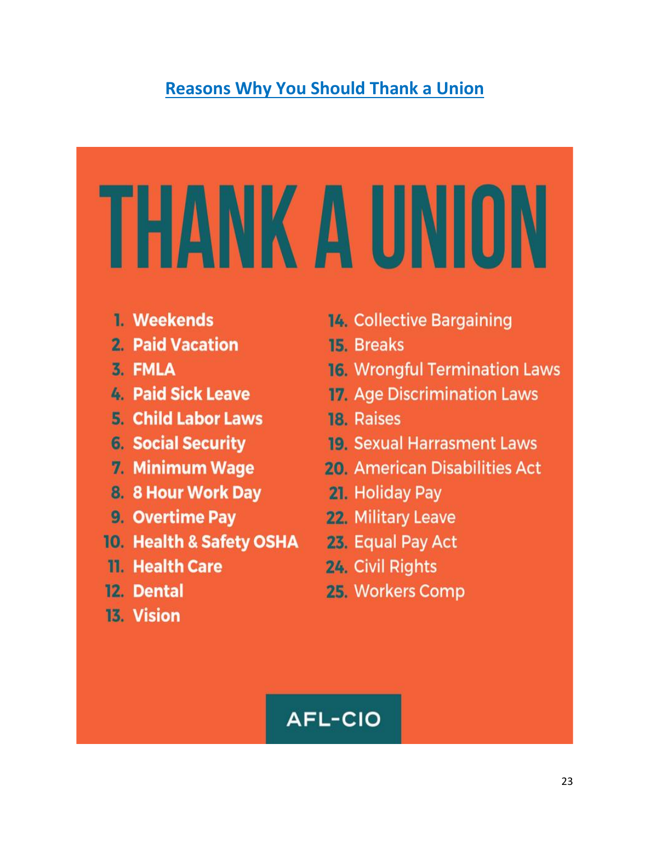#### **Reasons Why You Should Thank a Union**

# THANK A UNION

- 1. Weekends
- 2. Paid Vacation
- 3. FMLA
- 4. Paid Sick Leave
- **5. Child Labor Laws**
- **6. Social Security**
- 7. Minimum Wage
- 8. 8 Hour Work Day
- 9. Overtime Pay
- 10. Health & Safety OSHA
- 11. Health Care
- 12. Dental
- 13. Vision
- **14. Collective Bargaining**
- **15. Breaks**
- **16. Wrongful Termination Laws**
- **17. Age Discrimination Laws**
- 18. Raises
- **19. Sexual Harrasment Laws**
- **20. American Disabilities Act**
- 21. Holiday Pay
	- 22. Military Leave
	- 23. Equal Pay Act
	- 24. Civil Rights
	- 25. Workers Comp

# **AFL-CIO**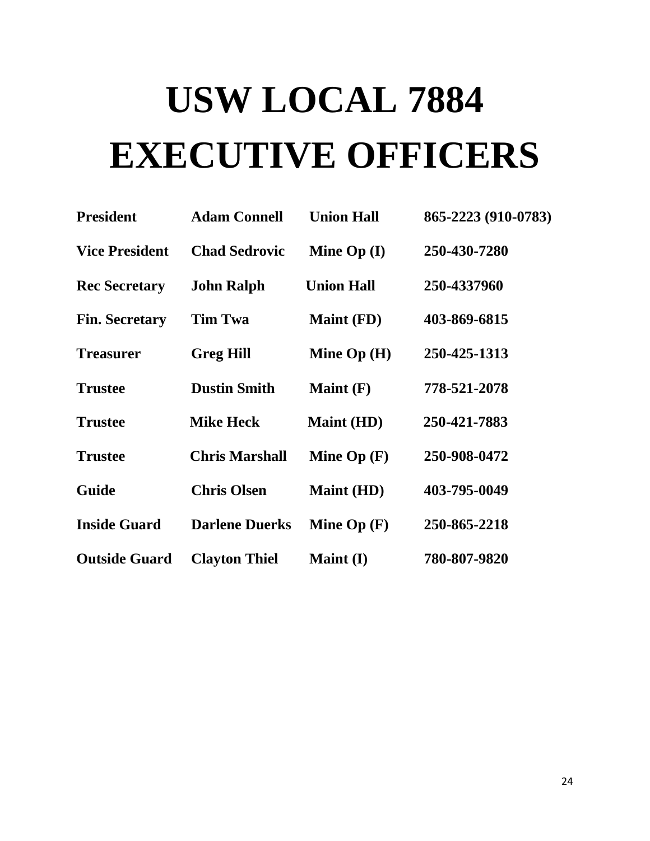# **USW LOCAL 7884 EXECUTIVE OFFICERS**

| <b>President</b>      | <b>Adam Connell</b>   | <b>Union Hall</b> | 865-2223 (910-0783) |
|-----------------------|-----------------------|-------------------|---------------------|
| <b>Vice President</b> | <b>Chad Sedrovic</b>  | Mine $Op (I)$     | 250-430-7280        |
| <b>Rec Secretary</b>  | <b>John Ralph</b>     | <b>Union Hall</b> | 250-4337960         |
| <b>Fin. Secretary</b> | <b>Tim Twa</b>        | <b>Maint (FD)</b> | 403-869-6815        |
| <b>Treasurer</b>      | <b>Greg Hill</b>      | Mine $Op(H)$      | 250-425-1313        |
| <b>Trustee</b>        | <b>Dustin Smith</b>   | Maint $(F)$       | 778-521-2078        |
| <b>Trustee</b>        | <b>Mike Heck</b>      | <b>Maint (HD)</b> | 250-421-7883        |
| <b>Trustee</b>        | <b>Chris Marshall</b> | Mine $Op(F)$      | 250-908-0472        |
| Guide                 | <b>Chris Olsen</b>    | <b>Maint (HD)</b> | 403-795-0049        |
| <b>Inside Guard</b>   | <b>Darlene Duerks</b> | Mine $Op(F)$      | 250-865-2218        |
| <b>Outside Guard</b>  | <b>Clayton Thiel</b>  | <b>Maint</b> (I)  | 780-807-9820        |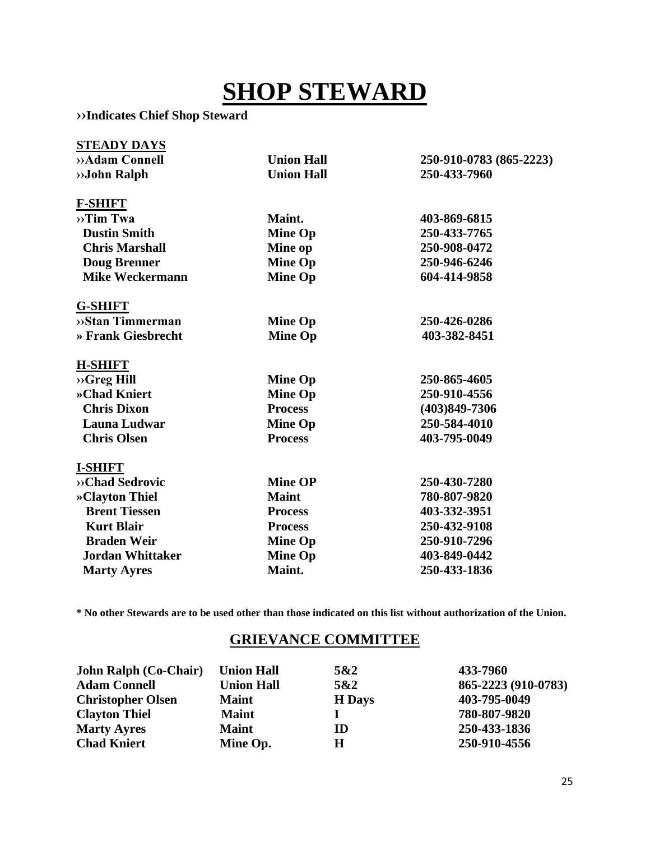# **SHOP STEWARD**

**››Indicates Chief Shop Steward** 

| <b>STEADY DAYS</b>           |                   |                         |
|------------------------------|-------------------|-------------------------|
| »Adam Connell                | <b>Union Hall</b> | 250-910-0783 (865-2223) |
| »John Ralph                  | <b>Union Hall</b> | 250-433-7960            |
| <b>F-SHIFT</b>               |                   |                         |
| $\rightarrow$ Tim Twa        | Maint.            | 403-869-6815            |
| <b>Dustin Smith</b>          | <b>Mine Op</b>    | 250-433-7765            |
| <b>Chris Marshall</b>        | Mine op           | 250-908-0472            |
| <b>Doug Brenner</b>          | <b>Mine Op</b>    | 250-946-6246            |
| <b>Mike Weckermann</b>       | <b>Mine Op</b>    | 604-414-9858            |
| <b>G-SHIFT</b>               |                   |                         |
| $\rightarrow$ Stan Timmerman | <b>Mine Op</b>    | 250-426-0286            |
| » Frank Giesbrecht           | <b>Mine Op</b>    | 403-382-8451            |
| <b>H-SHIFT</b>               |                   |                         |
| $\rightarrow$ Greg Hill      | <b>Mine Op</b>    | 250-865-4605            |
| »Chad Kniert                 | <b>Mine Op</b>    | 250-910-4556            |
| <b>Chris Dixon</b>           | <b>Process</b>    | $(403)849 - 7306$       |
| <b>Launa Ludwar</b>          | <b>Mine Op</b>    | 250-584-4010            |
| <b>Chris Olsen</b>           | <b>Process</b>    | 403-795-0049            |
| <b>I-SHIFT</b>               |                   |                         |
| »Chad Sedrovic               | <b>Mine OP</b>    | 250-430-7280            |
| »Clayton Thiel               | <b>Maint</b>      | 780-807-9820            |
| <b>Brent Tiessen</b>         | <b>Process</b>    | 403-332-3951            |
| <b>Kurt Blair</b>            | <b>Process</b>    | 250-432-9108            |
| <b>Braden Weir</b>           | <b>Mine Op</b>    | 250-910-7296            |
| <b>Jordan Whittaker</b>      | <b>Mine Op</b>    | 403-849-0442            |
| <b>Marty Ayres</b>           | Maint.            | 250-433-1836            |

**\* No other Stewards are to be used other than those indicated on this list without authorization of the Union.**

#### **GRIEVANCE COMMITTEE**

| <b>John Ralph (Co-Chair)</b> | <b>Union Hall</b> | 5&2           | 433-7960            |
|------------------------------|-------------------|---------------|---------------------|
| <b>Adam Connell</b>          | <b>Union Hall</b> | 5&2           | 865-2223 (910-0783) |
| <b>Christopher Olsen</b>     | <b>Maint</b>      | <b>H</b> Days | 403-795-0049        |
| <b>Clayton Thiel</b>         | <b>Maint</b>      |               | 780-807-9820        |
| <b>Marty Ayres</b>           | <b>Maint</b>      | ID            | 250-433-1836        |
| <b>Chad Kniert</b>           | Mine Op.          | Н             | 250-910-4556        |